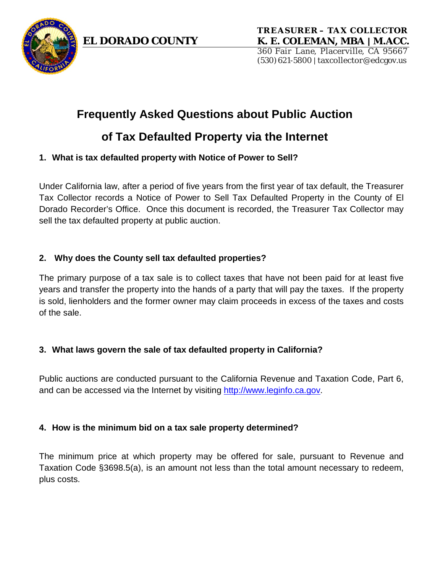

# **Frequently Asked Questions about Public Auction**

# **of Tax Defaulted Property via the Internet**

# **1. What is tax defaulted property with Notice of Power to Sell?**

Under California law, after a period of five years from the first year of tax default, the Treasurer Tax Collector records a Notice of Power to Sell Tax Defaulted Property in the County of El Dorado Recorder's Office. Once this document is recorded, the Treasurer Tax Collector may sell the tax defaulted property at public auction.

# **2. Why does the County sell tax defaulted properties?**

The primary purpose of a tax sale is to collect taxes that have not been paid for at least five years and transfer the property into the hands of a party that will pay the taxes. If the property is sold, lienholders and the former owner may claim proceeds in excess of the taxes and costs of the sale.

# **3. What laws govern the sale of tax defaulted property in California?**

Public auctions are conducted pursuant to the California Revenue and Taxation Code, Part 6, and can be accessed via the Internet by visiting [http://www.leginfo.ca.gov.](http://www.leginfo.ca.gov/)

# **4. How is the minimum bid on a tax sale property determined?**

The minimum price at which property may be offered for sale, pursuant to Revenue and Taxation Code §3698.5(a), is an amount not less than the total amount necessary to redeem, plus costs.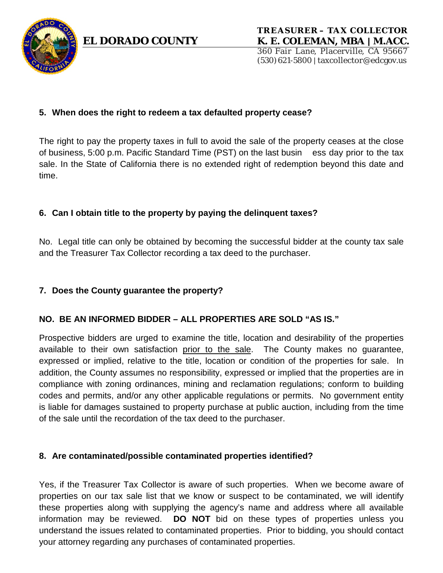

### **5. When does the right to redeem a tax defaulted property cease?**

The right to pay the property taxes in full to avoid the sale of the property ceases at the close of business, 5:00 p.m. Pacific Standard Time (PST) on the last busin ess day prior to the tax sale. In the State of California there is no extended right of redemption beyond this date and time.

### **6. Can I obtain title to the property by paying the delinquent taxes?**

No. Legal title can only be obtained by becoming the successful bidder at the county tax sale and the Treasurer Tax Collector recording a tax deed to the purchaser.

### **7. Does the County guarantee the property?**

### **NO. BE AN INFORMED BIDDER – ALL PROPERTIES ARE SOLD "AS IS."**

Prospective bidders are urged to examine the title, location and desirability of the properties available to their own satisfaction prior to the sale. The County makes no guarantee, expressed or implied, relative to the title, location or condition of the properties for sale. In addition, the County assumes no responsibility, expressed or implied that the properties are in compliance with zoning ordinances, mining and reclamation regulations; conform to building codes and permits, and/or any other applicable regulations or permits. No government entity is liable for damages sustained to property purchase at public auction, including from the time of the sale until the recordation of the tax deed to the purchaser.

### **8. Are contaminated/possible contaminated properties identified?**

Yes, if the Treasurer Tax Collector is aware of such properties. When we become aware of properties on our tax sale list that we know or suspect to be contaminated, we will identify these properties along with supplying the agency's name and address where all available information may be reviewed. **DO NOT** bid on these types of properties unless you understand the issues related to contaminated properties. Prior to bidding, you should contact your attorney regarding any purchases of contaminated properties.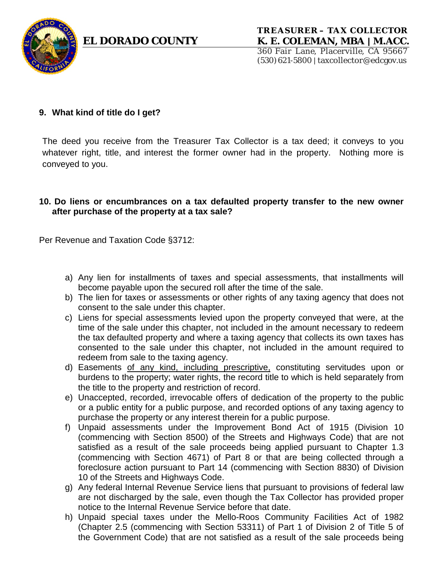

#### **TREASURER – TA X COLLE CTOR EL DORADO COUNTY K. E. COLEMAN, MBA | M.ACC.**

360 Fair Lane, Placerville, CA 95667 (530)621-5800| taxcollector@edcgov.us

### **9. What kind of title do I get?**

The deed you receive from the Treasurer Tax Collector is a tax deed; it conveys to you whatever right, title, and interest the former owner had in the property. Nothing more is conveyed to you.

#### **10. Do liens or encumbrances on a tax defaulted property transfer to the new owner after purchase of the property at a tax sale?**

Per Revenue and Taxation Code §3712:

- a) Any lien for installments of taxes and special assessments, that installments will become payable upon the secured roll after the time of the sale.
- b) The lien for taxes or assessments or other rights of any taxing agency that does not consent to the sale under this chapter.
- c) Liens for special assessments levied upon the property conveyed that were, at the time of the sale under this chapter, not included in the amount necessary to redeem the tax defaulted property and where a taxing agency that collects its own taxes has consented to the sale under this chapter, not included in the amount required to redeem from sale to the taxing agency.
- d) Easements of any kind, including prescriptive, constituting servitudes upon or burdens to the property; water rights, the record title to which is held separately from the title to the property and restriction of record.
- e) Unaccepted, recorded, irrevocable offers of dedication of the property to the public or a public entity for a public purpose, and recorded options of any taxing agency to purchase the property or any interest therein for a public purpose.
- f) Unpaid assessments under the Improvement Bond Act of 1915 (Division 10 (commencing with Section 8500) of the Streets and Highways Code) that are not satisfied as a result of the sale proceeds being applied pursuant to Chapter 1.3 (commencing with Section 4671) of Part 8 or that are being collected through a foreclosure action pursuant to Part 14 (commencing with Section 8830) of Division 10 of the Streets and Highways Code.
- g) Any federal Internal Revenue Service liens that pursuant to provisions of federal law are not discharged by the sale, even though the Tax Collector has provided proper notice to the Internal Revenue Service before that date.
- h) Unpaid special taxes under the Mello-Roos Community Facilities Act of 1982 (Chapter 2.5 (commencing with Section 53311) of Part 1 of Division 2 of Title 5 of the Government Code) that are not satisfied as a result of the sale proceeds being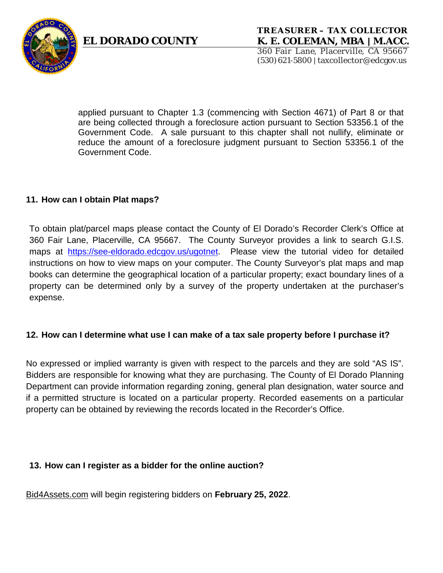



applied pursuant to Chapter 1.3 (commencing with Section 4671) of Part 8 or that are being collected through a foreclosure action pursuant to Section 53356.1 of the Government Code. A sale pursuant to this chapter shall not nullify, eliminate or reduce the amount of a foreclosure judgment pursuant to Section 53356.1 of the Government Code.

### **11. How can I obtain Plat maps?**

To obtain plat/parcel maps please contact the County of El Dorado's Recorder Clerk's Office at 360 Fair Lane, Placerville, CA 95667. The County Surveyor provides a link to search G.I.S. maps at [https://see-eldorado.edcgov.us/ugotnet.](https://see-eldorado.edcgov.us/ugotnet) Please view the tutorial video for detailed instructions on how to view maps on your computer. The County Surveyor's plat maps and map books can determine the geographical location of a particular property; exact boundary lines of a property can be determined only by a survey of the property undertaken at the purchaser's expense.

### **12. How can I determine what use I can make of a tax sale property before I purchase it?**

No expressed or implied warranty is given with respect to the parcels and they are sold "AS IS". Bidders are responsible for knowing what they are purchasing. The County of El Dorado Planning Department can provide information regarding zoning, general plan designation, water source and if a permitted structure is located on a particular property. Recorded easements on a particular property can be obtained by reviewing the records located in the Recorder's Office.

### **13. How can I register as a bidder for the online auction?**

Bid4Assets.com will begin registering bidders on **February 25, 2022**.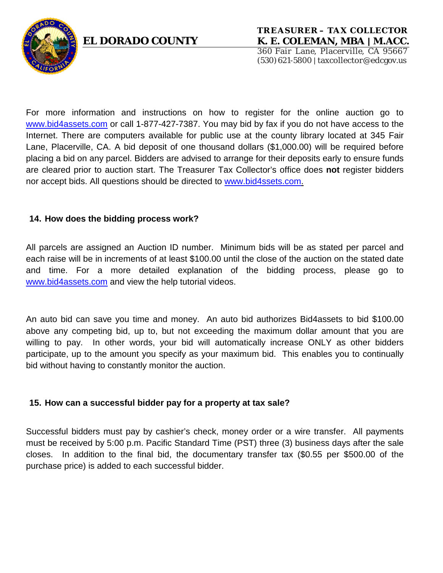

# **TREASURER – TA X COLLE CTOR EL DORADO COUNTY K. E. COLEMAN, MBA | M.ACC.**

360 Fair Lane, Placerville, CA 95667 (530)621-5800| taxcollector@edcgov.us

For more information and instructions on how to register for the online auction go to [www.bid4assets.com](http://www.bid4assets.com/) or call 1-877-427-7387. You may bid by fax if you do not have access to the Internet. There are computers available for public use at the county library located at 345 Fair Lane, Placerville, CA. A bid deposit of one thousand dollars (\$1,000.00) will be required before placing a bid on any parcel. Bidders are advised to arrange for their deposits early to ensure funds are cleared prior to auction start. The Treasurer Tax Collector's office does **not** register bidders nor accept bids. All questions should be directed to [www.bid4ssets.com.](file://tcdata/tc-wpfiles/Tax%20Sale/Bid4Assets/www.bid4ssets.com.)

### **14. How does the bidding process work?**

All parcels are assigned an Auction ID number. Minimum bids will be as stated per parcel and each raise will be in increments of at least \$100.00 until the close of the auction on the stated date and time. For a more detailed explanation of the bidding process, please go to [www.bid4assets.com](http://www.bid4assets.com/) and view the help tutorial videos.

An auto bid can save you time and money. An auto bid authorizes Bid4assets to bid \$100.00 above any competing bid, up to, but not exceeding the maximum dollar amount that you are willing to pay. In other words, your bid will automatically increase ONLY as other bidders participate, up to the amount you specify as your maximum bid. This enables you to continually bid without having to constantly monitor the auction.

### **15. How can a successful bidder pay for a property at tax sale?**

Successful bidders must pay by cashier's check, money order or a wire transfer. All payments must be received by 5:00 p.m. Pacific Standard Time (PST) three (3) business days after the sale closes. In addition to the final bid, the documentary transfer tax (\$0.55 per \$500.00 of the purchase price) is added to each successful bidder.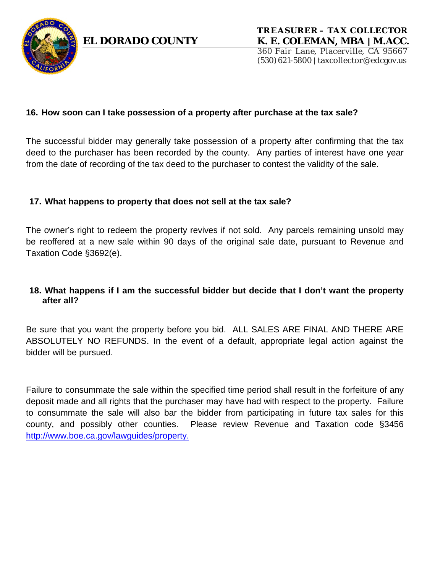

#### **16. How soon can I take possession of a property after purchase at the tax sale?**

The successful bidder may generally take possession of a property after confirming that the tax deed to the purchaser has been recorded by the county. Any parties of interest have one year from the date of recording of the tax deed to the purchaser to contest the validity of the sale.

#### **17. What happens to property that does not sell at the tax sale?**

The owner's right to redeem the property revives if not sold. Any parcels remaining unsold may be reoffered at a new sale within 90 days of the original sale date, pursuant to Revenue and Taxation Code §3692(e).

### **18. What happens if I am the successful bidder but decide that I don't want the property after all?**

Be sure that you want the property before you bid. ALL SALES ARE FINAL AND THERE ARE ABSOLUTELY NO REFUNDS. In the event of a default, appropriate legal action against the bidder will be pursued.

Failure to consummate the sale within the specified time period shall result in the forfeiture of any deposit made and all rights that the purchaser may have had with respect to the property. Failure to consummate the sale will also bar the bidder from participating in future tax sales for this county, and possibly other counties. Please review Revenue and Taxation code §3456 <http://www.boe.ca.gov/lawguides/property.>